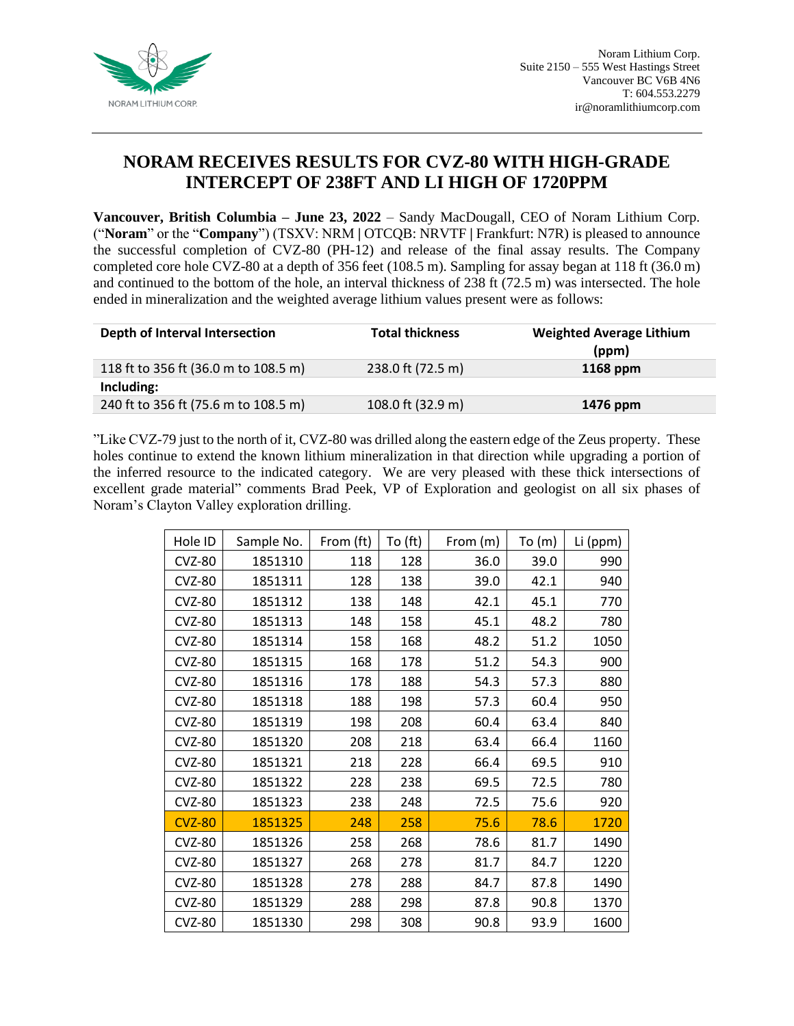

## **NORAM RECEIVES RESULTS FOR CVZ-80 WITH HIGH-GRADE INTERCEPT OF 238FT AND LI HIGH OF 1720PPM**

**Vancouver, British Columbia – June 23, 2022** – Sandy MacDougall, CEO of Noram Lithium Corp. ("**Noram**" or the "**Company**") (TSXV: NRM **|** OTCQB: NRVTF **|** Frankfurt: N7R) is pleased to announce the successful completion of CVZ-80 (PH-12) and release of the final assay results. The Company completed core hole CVZ-80 at a depth of 356 feet (108.5 m). Sampling for assay began at 118 ft (36.0 m) and continued to the bottom of the hole, an interval thickness of 238 ft (72.5 m) was intersected. The hole ended in mineralization and the weighted average lithium values present were as follows:

| Depth of Interval Intersection       | <b>Total thickness</b> | <b>Weighted Average Lithium</b> |
|--------------------------------------|------------------------|---------------------------------|
|                                      |                        | (ppm)                           |
| 118 ft to 356 ft (36.0 m to 108.5 m) | 238.0 ft (72.5 m)      | $1168$ ppm                      |
| Including:                           |                        |                                 |
| 240 ft to 356 ft (75.6 m to 108.5 m) | 108.0 ft (32.9 m)      | 1476 ppm                        |

"Like CVZ-79 just to the north of it, CVZ-80 was drilled along the eastern edge of the Zeus property. These holes continue to extend the known lithium mineralization in that direction while upgrading a portion of the inferred resource to the indicated category. We are very pleased with these thick intersections of excellent grade material" comments Brad Peek, VP of Exploration and geologist on all six phases of Noram's Clayton Valley exploration drilling.

| Hole ID       | Sample No. | From (ft) | To (ft) | From (m) | To (m) | Li (ppm) |
|---------------|------------|-----------|---------|----------|--------|----------|
| <b>CVZ-80</b> | 1851310    | 118       | 128     | 36.0     | 39.0   | 990      |
| <b>CVZ-80</b> | 1851311    | 128       | 138     | 39.0     | 42.1   | 940      |
| <b>CVZ-80</b> | 1851312    | 138       | 148     | 42.1     | 45.1   | 770      |
| <b>CVZ-80</b> | 1851313    | 148       | 158     | 45.1     | 48.2   | 780      |
| <b>CVZ-80</b> | 1851314    | 158       | 168     | 48.2     | 51.2   | 1050     |
| <b>CVZ-80</b> | 1851315    | 168       | 178     | 51.2     | 54.3   | 900      |
| <b>CVZ-80</b> | 1851316    | 178       | 188     | 54.3     | 57.3   | 880      |
| <b>CVZ-80</b> | 1851318    | 188       | 198     | 57.3     | 60.4   | 950      |
| <b>CVZ-80</b> | 1851319    | 198       | 208     | 60.4     | 63.4   | 840      |
| <b>CVZ-80</b> | 1851320    | 208       | 218     | 63.4     | 66.4   | 1160     |
| <b>CVZ-80</b> | 1851321    | 218       | 228     | 66.4     | 69.5   | 910      |
| <b>CVZ-80</b> | 1851322    | 228       | 238     | 69.5     | 72.5   | 780      |
| <b>CVZ-80</b> | 1851323    | 238       | 248     | 72.5     | 75.6   | 920      |
| <b>CVZ-80</b> | 1851325    | 248       | 258     | 75.6     | 78.6   | 1720     |
| <b>CVZ-80</b> | 1851326    | 258       | 268     | 78.6     | 81.7   | 1490     |
| <b>CVZ-80</b> | 1851327    | 268       | 278     | 81.7     | 84.7   | 1220     |
| <b>CVZ-80</b> | 1851328    | 278       | 288     | 84.7     | 87.8   | 1490     |
| <b>CVZ-80</b> | 1851329    | 288       | 298     | 87.8     | 90.8   | 1370     |
| <b>CVZ-80</b> | 1851330    | 298       | 308     | 90.8     | 93.9   | 1600     |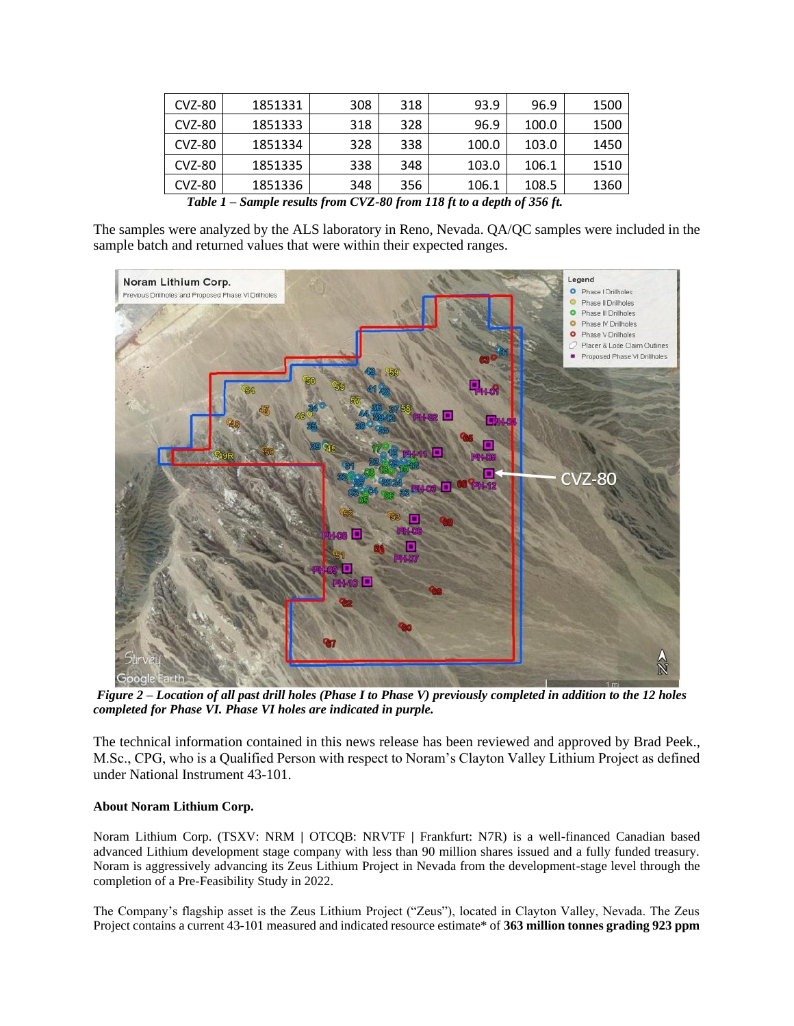| <b>CVZ-80</b> | 1851331 | 308 | 318 | 93.9  | 96.9  | 1500 |
|---------------|---------|-----|-----|-------|-------|------|
| <b>CVZ-80</b> | 1851333 | 318 | 328 | 96.9  | 100.0 | 1500 |
| <b>CVZ-80</b> | 1851334 | 328 | 338 | 100.0 | 103.0 | 1450 |
| <b>CVZ-80</b> | 1851335 | 338 | 348 | 103.0 | 106.1 | 1510 |
| <b>CVZ-80</b> | 1851336 | 348 | 356 | 106.1 | 108.5 | 1360 |

*Table 1 – Sample results from CVZ-80 from 118 ft to a depth of 356 ft.*

The samples were analyzed by the ALS laboratory in Reno, Nevada. QA/QC samples were included in the sample batch and returned values that were within their expected ranges.



*Figure 2 – Location of all past drill holes (Phase I to Phase V) previously completed in addition to the 12 holes completed for Phase VI. Phase VI holes are indicated in purple.*

The technical information contained in this news release has been reviewed and approved by Brad Peek., M.Sc., CPG, who is a Qualified Person with respect to Noram's Clayton Valley Lithium Project as defined under National Instrument 43-101.

## **About Noram Lithium Corp.**

Noram Lithium Corp. (TSXV: NRM **|** OTCQB: NRVTF **|** Frankfurt: N7R) is a well-financed Canadian based advanced Lithium development stage company with less than 90 million shares issued and a fully funded treasury. Noram is aggressively advancing its Zeus Lithium Project in Nevada from the development-stage level through the completion of a Pre-Feasibility Study in 2022.

The Company's flagship asset is the Zeus Lithium Project ("Zeus"), located in Clayton Valley, Nevada. The Zeus Project contains a current 43-101 measured and indicated resource estimate\* of **363 million tonnes grading 923 ppm**